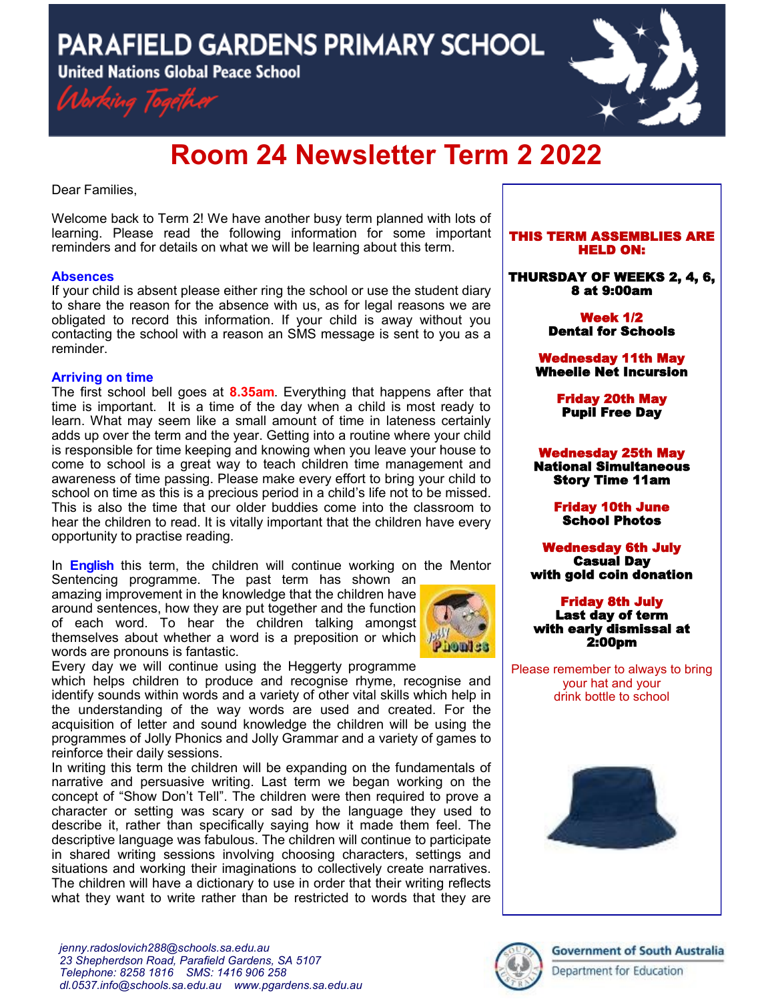**PARAFIELD GARDENS PRIMARY SCHOOL** 

**United Nations Global Peace School** 





# **Room 24 Newsletter Term 2 2022**

Dear Families,

Welcome back to Term 2! We have another busy term planned with lots of learning. Please read the following information for some important reminders and for details on what we will be learning about this term.

## **Absences**

If your child is absent please either ring the school or use the student diary to share the reason for the absence with us, as for legal reasons we are obligated to record this information. If your child is away without you contacting the school with a reason an SMS message is sent to you as a reminder.

## **Arriving on time**

The first school bell goes at **8.35am**. Everything that happens after that time is important. It is a time of the day when a child is most ready to learn. What may seem like a small amount of time in lateness certainly adds up over the term and the year. Getting into a routine where your child is responsible for time keeping and knowing when you leave your house to come to school is a great way to teach children time management and awareness of time passing. Please make every effort to bring your child to school on time as this is a precious period in a child's life not to be missed. This is also the time that our older buddies come into the classroom to hear the children to read. It is vitally important that the children have every opportunity to practise reading.

In **English** this term, the children will continue working on the Mentor Sentencing programme. The past term has shown an

amazingimprovement in the knowledge that the children have around sentences, how they are put together and the function of each word. To hear the children talking amongst themselves about whether a word is a preposition or which words are pronouns is fantastic.



Every day we will continue using the Heggerty programme

which helps children to produce and recognise rhyme, recognise and identify sounds within words and a variety of other vital skills which help in the understanding of the way words are used and created. For the acquisition of letter and sound knowledge the children will be using the programmes of Jolly Phonics and Jolly Grammar and a variety of games to reinforce their daily sessions.

In writing this term the children will be expanding on the fundamentals of narrative and persuasive writing. Last term we began working on the concept of "Show Don't Tell". The children were then required to prove a character or setting was scary or sad by the language they used to describe it, rather than specifically saying how it made them feel. The descriptive language was fabulous. The children will continue to participate in shared writing sessions involving choosing characters, settings and situations and working their imaginations to collectively create narratives. The children will have a dictionary to use in order that their writing reflects what they want to write rather than be restricted to words that they are

#### THIS TERM ASSEMBLIES ARE HELD ON:

THURSDAY OF WEEKS 2, 4, 6, 8 at 9:00am

> Week 1/2 Dental for Schools

Wednesday 11th May Wheelie Net Incursion

> Friday 20th May Pupil Free Day

Wednesday 25th May National Simultaneous Story Time 11am

> Friday 10th June School Photos

Wednesday 6th July Casual Day with gold coin donation

Friday 8th July Last day of term with early dismissal at 2:00pm

Please remember to always to bring your hat and your drink bottle to school





# **Government of South Australia**

Department for Education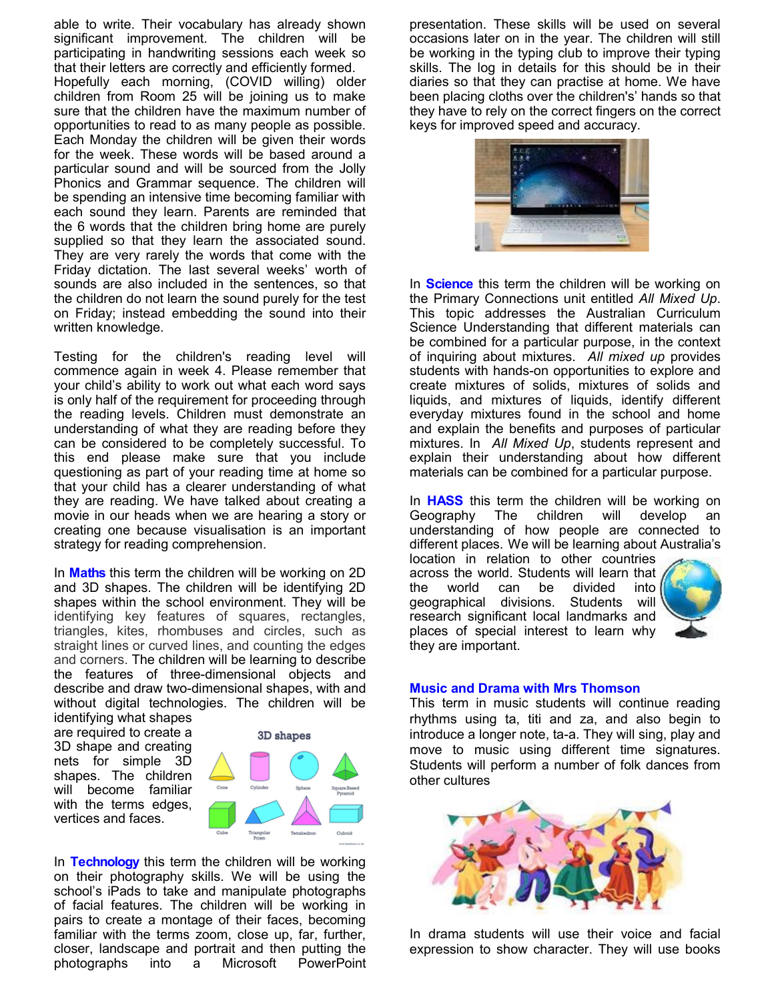able to write. Their vocabulary has already shown significant improvement. The children will be participating in handwriting sessions each week so that their letters are correctly and efficiently formed. Hopefully each morning, (COVID willing) older children from Room 25 will be joining us to make sure that the children have the maximum number of opportunities to read to as many people as possible. Each Monday the children will be given their words for the week. These words will be based around a particular sound and will be sourced from the Jolly Phonics and Grammar sequence. The children will be spending an intensive time becoming familiar with each sound they learn. Parents are reminded that the 6 words that the children bring home are purely supplied so that they learn the associated sound. They are very rarely the words that come with the Friday dictation. The last several weeks' worth of sounds are also included in the sentences, so that the children do not learn the sound purely for the test on Friday; instead embedding the sound into their written knowledge.

Testing for the children's reading level will commence again in week 4. Please remember that your child's ability to work out what each word says is only half of the requirement for proceeding through the reading levels. Children must demonstrate an understanding of what they are reading before they can be considered to be completely successful. To this end please make sure that you include questioning as part of your reading time at home so that your child has a clearer understanding of what they are reading. We have talked about creating a movie in our heads when we are hearing a story or creating one because visualisation is an important strategy for reading comprehension.

In **Maths** this term the children will be working on 2D and 3D shapes. The children will be identifying 2D shapes within the school environment. They will be identifying key features of squares, rectangles, triangles, kites, rhombuses and circles, such as straight lines or curved lines, and counting the edges and corners. The children will be learning to describe the features of three-dimensional objects and describe and draw two-dimensional shapes, with and without digital technologies. The children will be

identifying what shapes are required to create a 3D shape and creating nets for simple 3D shapes. The children will become familiar with the terms edges, vertices and faces.



In **Technology** this term the children will be working on their photography skills. We will be using the school's iPads to take and manipulate photographs of facial features. The children will be working in pairs to create a montage of their faces, becoming familiar with the terms zoom, close up, far, further, closer, landscape and portrait and then putting the photographs into a Microsoft PowerPoint

presentation. These skills will be used on several occasions later on in the year. The children will still be working in the typing club to improve their typing skills. The log in details for this should be in their diaries so that they can practise at home. We have been placing cloths over the children's' hands so that they have to rely on the correct fingers on the correct keys for improved speed and accuracy.



In **Science** this term the children will be working on the Primary Connections unit entitled *All Mixed Up*. This topic addresses the Australian Curriculum Science Understanding that different materials can be combined for a particular purpose, in the context of inquiring about mixtures. *All mixed up* provides students with hands-on opportunities to explore and create mixtures of solids, mixtures of solids and liquids, and mixtures of liquids, identify different everyday mixtures found in the school and home and explain the benefits and purposes of particular mixtures. In *All Mixed Up*, students represent and explain their understanding about how different materials can be combined for a particular purpose.

In **HASS** this term the children will be working on Geography The children will develop an understanding of how people are connected to different places. We will be learning about Australia's

location in relation to other countries across the world. Students will learn that<br>the world can be divided into the world can be divided geographical divisions. Students will research significant local landmarks and places of special interest to learn why they are important.



#### **Music and Drama with Mrs Thomson**

This term in music students will continue reading rhythms using ta, titi and za, and also begin to introduce a longer note, ta-a. They will sing, play and move to music using different time signatures. Students will perform a number of folk dances from other cultures



In drama students will use their voice and facial expression to show character. They will use books